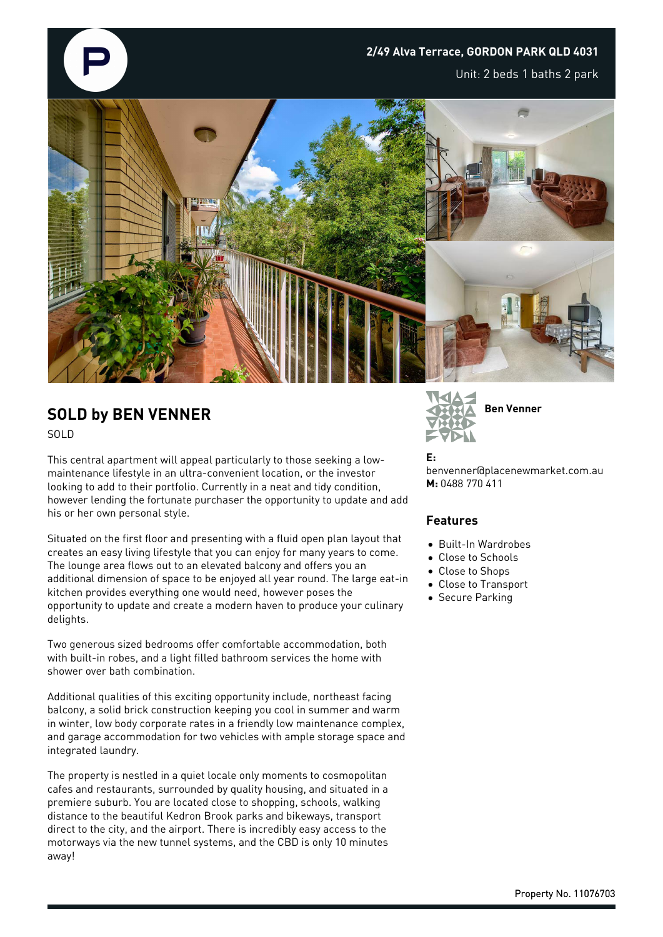

## **SOLD by BEN VENNER** SOLD

This central apartment will appeal particularly to those seeking a lowmaintenance lifestyle in an ultra-convenient location, or the investor looking to add to their portfolio. Currently in a neat and tidy condition, however lending the fortunate purchaser the opportunity to update and add his or her own personal style.

Situated on the first floor and presenting with a fluid open plan layout that creates an easy living lifestyle that you can enjoy for many years to come. The lounge area flows out to an elevated balcony and offers you an additional dimension of space to be enjoyed all year round. The large eat-in kitchen provides everything one would need, however poses the opportunity to update and create a modern haven to produce your culinary delights.

Two generous sized bedrooms offer comfortable accommodation, both with built-in robes, and a light filled bathroom services the home with shower over bath combination.

Additional qualities of this exciting opportunity include, northeast facing balcony, a solid brick construction keeping you cool in summer and warm in winter, low body corporate rates in a friendly low maintenance complex, and garage accommodation for two vehicles with ample storage space and integrated laundry.

The property is nestled in a quiet locale only moments to cosmopolitan cafes and restaurants, surrounded by quality housing, and situated in a premiere suburb. You are located close to shopping, schools, walking distance to the beautiful Kedron Brook parks and bikeways, transport direct to the city, and the airport. There is incredibly easy access to the motorways via the new tunnel systems, and the CBD is only 10 minutes away!



**E:** benvenner@placenewmarket.com.au **M:** 0488 770 411

## **Features**

- Built-In Wardrobes
- Close to Schools
- Close to Shops
- Close to Transport
- **•** Secure Parking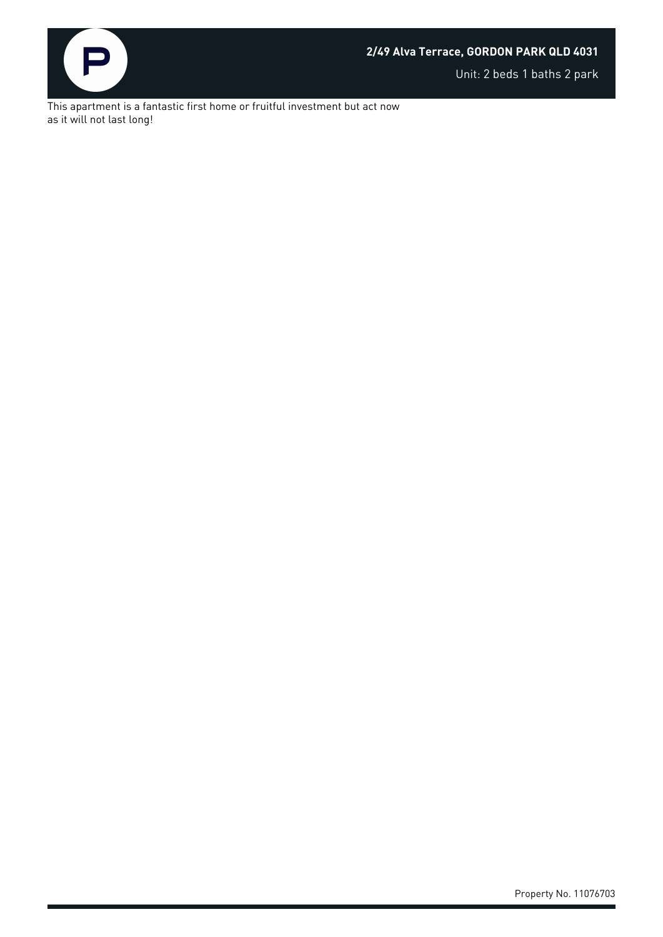

## **2/49 Alva Terrace, GORDON PARK QLD 4031**

Unit: 2 beds 1 baths 2 park

This apartment is a fantastic first home or fruitful investment but act now as it will not last long!